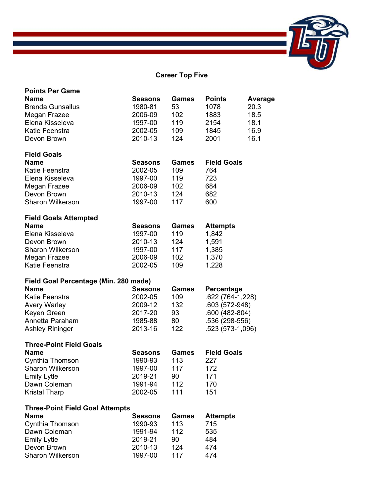## **Career Top Five**

| <b>Points Per Game</b>                 |                |              |                    |         |
|----------------------------------------|----------------|--------------|--------------------|---------|
| <b>Name</b>                            | <b>Seasons</b> | <b>Games</b> | <b>Points</b>      | Average |
| <b>Brenda Gunsallus</b>                | 1980-81        | 53           | 1078               | 20.3    |
| Megan Frazee                           | 2006-09        | 102          | 1883               | 18.5    |
| Elena Kisseleva                        | 1997-00        | 119          | 2154               | 18.1    |
| Katie Feenstra                         | 2002-05        | 109          | 1845               | 16.9    |
| Devon Brown                            | 2010-13        | 124          | 2001               | 16.1    |
|                                        |                |              |                    |         |
| <b>Field Goals</b>                     |                |              |                    |         |
| <b>Name</b>                            | <b>Seasons</b> | Games        | <b>Field Goals</b> |         |
| Katie Feenstra                         | 2002-05        | 109          | 764                |         |
| Elena Kisseleva                        | 1997-00        | 119          | 723                |         |
| Megan Frazee                           | 2006-09        | 102          | 684                |         |
| Devon Brown                            | 2010-13        | 124          | 682                |         |
| <b>Sharon Wilkerson</b>                | 1997-00        | 117          | 600                |         |
| <b>Field Goals Attempted</b>           |                |              |                    |         |
| <b>Name</b>                            | <b>Seasons</b> | <b>Games</b> | <b>Attempts</b>    |         |
| Elena Kisseleva                        | 1997-00        | 119          | 1,842              |         |
| Devon Brown                            | 2010-13        | 124          | 1,591              |         |
| <b>Sharon Wilkerson</b>                | 1997-00        | 117          | 1,385              |         |
| Megan Frazee                           | 2006-09        | 102          | 1,370              |         |
| Katie Feenstra                         | 2002-05        | 109          | 1,228              |         |
|                                        |                |              |                    |         |
|                                        |                |              |                    |         |
| Field Goal Percentage (Min. 280 made)  |                |              |                    |         |
| Name                                   | <b>Seasons</b> | Games        | Percentage         |         |
| Katie Feenstra                         | 2002-05        | 109          | .622 (764-1,228)   |         |
| <b>Avery Warley</b>                    | 2009-12        | 132          | .603 (572-948)     |         |
| Keyen Green                            | 2017-20        | 93           | .600 (482-804)     |         |
| Annetta Paraham                        | 1985-88        | 80           | .536 (298-556)     |         |
| <b>Ashley Rininger</b>                 | 2013-16        | 122          | .523 (573-1,096)   |         |
|                                        |                |              |                    |         |
| <b>Three-Point Field Goals</b>         |                |              |                    |         |
| <b>Name</b>                            | <b>Seasons</b> | <b>Games</b> | <b>Field Goals</b> |         |
| Cynthia Thomson                        | 1990-93        | 113          | 227                |         |
| Sharon Wilkerson                       | 1997-00        | 117          | 172                |         |
| <b>Emily Lytle</b>                     | 2019-21        | 90           | 171                |         |
| Dawn Coleman                           | 1991-94        | 112          | 170                |         |
| <b>Kristal Tharp</b>                   | 2002-05        | 111          | 151                |         |
| <b>Three-Point Field Goal Attempts</b> |                |              |                    |         |
| Name                                   | <b>Seasons</b> | <b>Games</b> | <b>Attempts</b>    |         |
| Cynthia Thomson                        | 1990-93        | 113          | 715                |         |
| Dawn Coleman                           | 1991-94        | 112          | 535                |         |
| <b>Emily Lytle</b>                     | 2019-21        | 90           | 484                |         |
| Devon Brown                            | 2010-13        | 124          | 474                |         |
| Sharon Wilkerson                       | 1997-00        | 117          | 474                |         |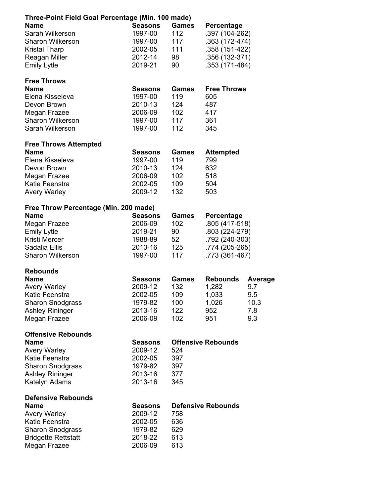| Three-Point Field Goal Percentage (Min. 100 made) |                |              |                           |         |  |  |  |
|---------------------------------------------------|----------------|--------------|---------------------------|---------|--|--|--|
| <b>Name</b>                                       | <b>Seasons</b> | <b>Games</b> | Percentage                |         |  |  |  |
| Sarah Wilkerson                                   | 1997-00        | 112          | .397 (104-262)            |         |  |  |  |
| <b>Sharon Wilkerson</b>                           | 1997-00        | 117          | .363 (172-474)            |         |  |  |  |
| <b>Kristal Tharp</b>                              | 2002-05        | 111          | .358 (151-422)            |         |  |  |  |
| Reagan Miller                                     | 2012-14        | 98           | .356 (132-371)            |         |  |  |  |
| <b>Emily Lytle</b>                                | 2019-21        | 90           | .353 (171-484)            |         |  |  |  |
|                                                   |                |              |                           |         |  |  |  |
| <b>Free Throws</b>                                |                |              |                           |         |  |  |  |
| <b>Name</b>                                       | <b>Seasons</b> | <b>Games</b> | <b>Free Throws</b>        |         |  |  |  |
| Elena Kisseleva                                   | 1997-00        | 119          | 605                       |         |  |  |  |
| Devon Brown                                       | 2010-13        | 124          | 487                       |         |  |  |  |
| Megan Frazee                                      | 2006-09        | 102          | 417                       |         |  |  |  |
| <b>Sharon Wilkerson</b>                           | 1997-00        | 117          | 361                       |         |  |  |  |
| Sarah Wilkerson                                   | 1997-00        | 112          | 345                       |         |  |  |  |
| <b>Free Throws Attempted</b>                      |                |              |                           |         |  |  |  |
| <b>Name</b>                                       | <b>Seasons</b> | <b>Games</b> | <b>Attempted</b>          |         |  |  |  |
| Elena Kisseleva                                   | 1997-00        | 119          | 799                       |         |  |  |  |
| Devon Brown                                       | 2010-13        | 124          | 632                       |         |  |  |  |
| Megan Frazee                                      | 2006-09        | 102          | 518                       |         |  |  |  |
| Katie Feenstra                                    | 2002-05        | 109          | 504                       |         |  |  |  |
| <b>Avery Warley</b>                               | 2009-12        | 132          | 503                       |         |  |  |  |
|                                                   |                |              |                           |         |  |  |  |
| Free Throw Percentage (Min. 200 made)             |                |              |                           |         |  |  |  |
| <b>Name</b>                                       | Seasons        | <b>Games</b> | <b>Percentage</b>         |         |  |  |  |
| Megan Frazee                                      | 2006-09        | 102          | .805 (417-518)            |         |  |  |  |
| <b>Emily Lytle</b>                                | 2019-21        | 90           | .803 (224-279)            |         |  |  |  |
| Kristi Mercer                                     | 1988-89        | 52           | .792 (240-303)            |         |  |  |  |
| Sadalia Ellis                                     | 2013-16        | 125          | .774 (205-265)            |         |  |  |  |
| <b>Sharon Wilkerson</b>                           | 1997-00        | 117          | .773 (361-467)            |         |  |  |  |
| <b>Rebounds</b>                                   |                |              |                           |         |  |  |  |
| <b>Name</b>                                       | <b>Seasons</b> | <b>Games</b> | <b>Rebounds</b>           | Average |  |  |  |
| <b>Avery Warley</b>                               | 2009-12        | 132          | 1,282                     | 9.7     |  |  |  |
| Katie Feenstra                                    | 2002-05        | 109          | 1,033                     | 9.5     |  |  |  |
| <b>Sharon Snodgrass</b>                           | 1979-82        | 100          | 1,026                     | 10.3    |  |  |  |
| <b>Ashley Rininger</b>                            | 2013-16        | 122          | 952                       | 7.8     |  |  |  |
| Megan Frazee                                      | 2006-09        | 102          | 951                       | 9.3     |  |  |  |
|                                                   |                |              |                           |         |  |  |  |
| <b>Offensive Rebounds</b>                         |                |              |                           |         |  |  |  |
| <b>Name</b>                                       | <b>Seasons</b> |              | <b>Offensive Rebounds</b> |         |  |  |  |
| <b>Avery Warley</b>                               | 2009-12        | 524          |                           |         |  |  |  |
| Katie Feenstra                                    | 2002-05        | 397          |                           |         |  |  |  |
| <b>Sharon Snodgrass</b>                           | 1979-82        | 397          |                           |         |  |  |  |
| <b>Ashley Rininger</b>                            | 2013-16        | 377          |                           |         |  |  |  |
| Katelyn Adams                                     | 2013-16        | 345          |                           |         |  |  |  |
| <b>Defensive Rebounds</b>                         |                |              |                           |         |  |  |  |
| <b>Name</b>                                       | <b>Seasons</b> |              | <b>Defensive Rebounds</b> |         |  |  |  |
| <b>Avery Warley</b>                               | 2009-12        | 758          |                           |         |  |  |  |
| Katie Feenstra                                    | 2002-05        | 636          |                           |         |  |  |  |
| <b>Sharon Snodgrass</b>                           | 1979-82        | 629          |                           |         |  |  |  |
| <b>Bridgette Rettstatt</b>                        | 2018-22        | 613          |                           |         |  |  |  |
| Megan Frazee                                      | 2006-09        | 613          |                           |         |  |  |  |
|                                                   |                |              |                           |         |  |  |  |